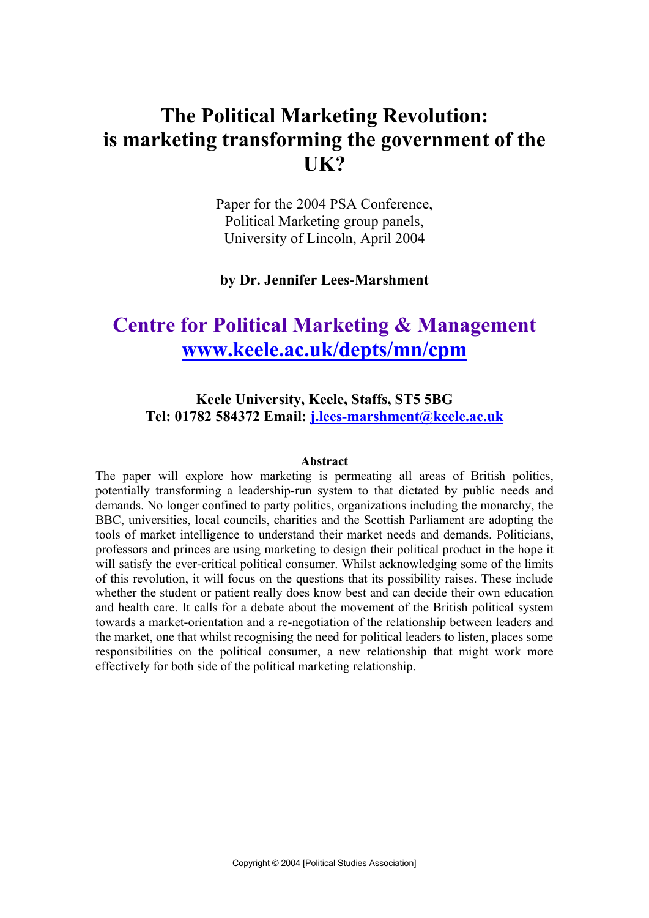# The Political Marketing Revolution: is marketing transforming the government of the UK?

Paper for the 2004 PSA Conference, Political Marketing group panels, University of Lincoln, April 2004

by Dr. Jennifer Lees-Marshment

# Centre for Political Marketing & Management www.keele.ac.uk/depts/mn/cpm

# Keele University, Keele, Staffs, ST5 5BG Tel: 01782 584372 Email: j.lees-marshment@keele.ac.uk

#### Abstract

The paper will explore how marketing is permeating all areas of British politics, potentially transforming a leadership-run system to that dictated by public needs and demands. No longer confined to party politics, organizations including the monarchy, the BBC, universities, local councils, charities and the Scottish Parliament are adopting the tools of market intelligence to understand their market needs and demands. Politicians, professors and princes are using marketing to design their political product in the hope it will satisfy the ever-critical political consumer. Whilst acknowledging some of the limits of this revolution, it will focus on the questions that its possibility raises. These include whether the student or patient really does know best and can decide their own education and health care. It calls for a debate about the movement of the British political system towards a market-orientation and a re-negotiation of the relationship between leaders and the market, one that whilst recognising the need for political leaders to listen, places some responsibilities on the political consumer, a new relationship that might work more effectively for both side of the political marketing relationship.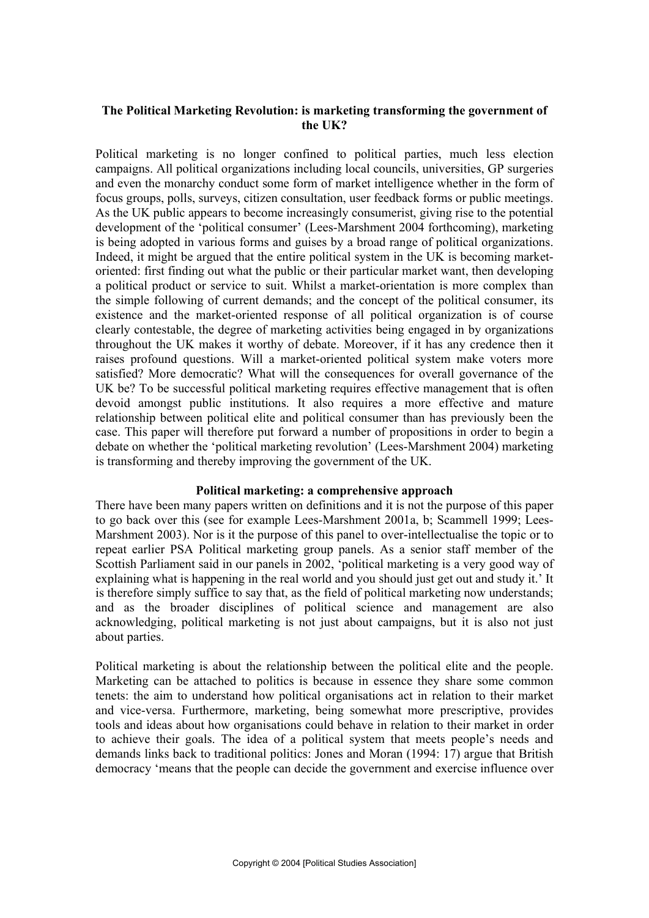## The Political Marketing Revolution: is marketing transforming the government of the UK?

Political marketing is no longer confined to political parties, much less election campaigns. All political organizations including local councils, universities, GP surgeries and even the monarchy conduct some form of market intelligence whether in the form of focus groups, polls, surveys, citizen consultation, user feedback forms or public meetings. As the UK public appears to become increasingly consumerist, giving rise to the potential development of the 'political consumer' (Lees-Marshment 2004 forthcoming), marketing is being adopted in various forms and guises by a broad range of political organizations. Indeed, it might be argued that the entire political system in the UK is becoming marketoriented: first finding out what the public or their particular market want, then developing a political product or service to suit. Whilst a market-orientation is more complex than the simple following of current demands; and the concept of the political consumer, its existence and the market-oriented response of all political organization is of course clearly contestable, the degree of marketing activities being engaged in by organizations throughout the UK makes it worthy of debate. Moreover, if it has any credence then it raises profound questions. Will a market-oriented political system make voters more satisfied? More democratic? What will the consequences for overall governance of the UK be? To be successful political marketing requires effective management that is often devoid amongst public institutions. It also requires a more effective and mature relationship between political elite and political consumer than has previously been the case. This paper will therefore put forward a number of propositions in order to begin a debate on whether the 'political marketing revolution' (Lees-Marshment 2004) marketing is transforming and thereby improving the government of the UK.

#### Political marketing: a comprehensive approach

There have been many papers written on definitions and it is not the purpose of this paper to go back over this (see for example Lees-Marshment 2001a, b; Scammell 1999; Lees-Marshment 2003). Nor is it the purpose of this panel to over-intellectualise the topic or to repeat earlier PSA Political marketing group panels. As a senior staff member of the Scottish Parliament said in our panels in 2002, 'political marketing is a very good way of explaining what is happening in the real world and you should just get out and study it.' It is therefore simply suffice to say that, as the field of political marketing now understands; and as the broader disciplines of political science and management are also acknowledging, political marketing is not just about campaigns, but it is also not just about parties.

Political marketing is about the relationship between the political elite and the people. Marketing can be attached to politics is because in essence they share some common tenets: the aim to understand how political organisations act in relation to their market and vice-versa. Furthermore, marketing, being somewhat more prescriptive, provides tools and ideas about how organisations could behave in relation to their market in order to achieve their goals. The idea of a political system that meets people's needs and demands links back to traditional politics: Jones and Moran (1994: 17) argue that British democracy 'means that the people can decide the government and exercise influence over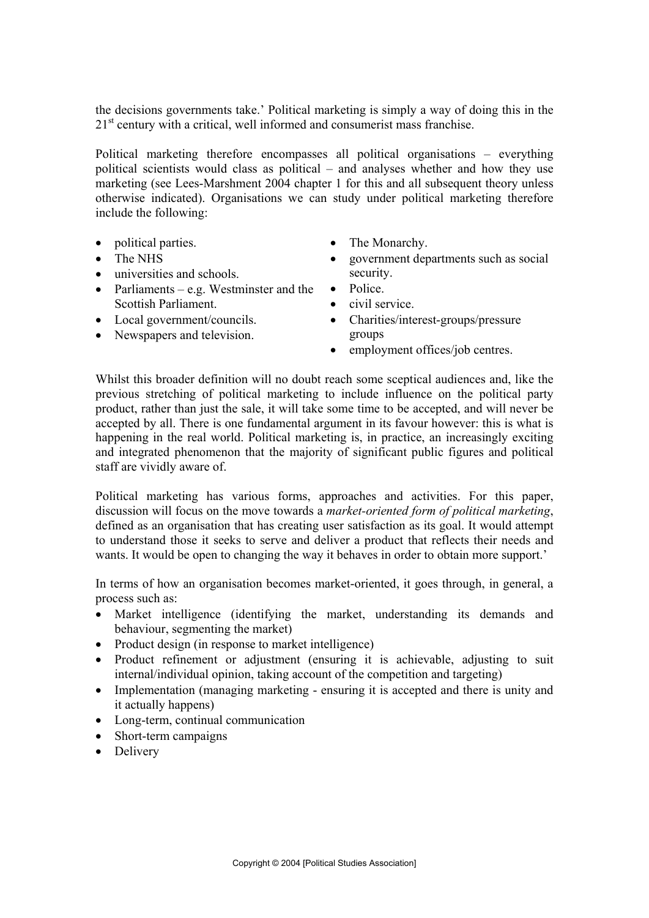the decisions governments take.' Political marketing is simply a way of doing this in the 21<sup>st</sup> century with a critical, well informed and consumerist mass franchise.

Political marketing therefore encompasses all political organisations – everything political scientists would class as political – and analyses whether and how they use marketing (see Lees-Marshment 2004 chapter 1 for this and all subsequent theory unless otherwise indicated). Organisations we can study under political marketing therefore include the following:

- political parties.
- $\bullet$  The NHS
- $\bullet$  universities and schools.
- Parliaments e.g. Westminster and the Scottish Parliament.
- $\bullet$  Local government/councils.
- Newspapers and television.
- The Monarchy.
- x government departments such as social security.
- $\bullet$  Police.
- $\bullet$  civil service.
- Charities/interest-groups/pressure groups
- $\bullet$  employment offices/job centres.

Whilst this broader definition will no doubt reach some sceptical audiences and, like the previous stretching of political marketing to include influence on the political party product, rather than just the sale, it will take some time to be accepted, and will never be accepted by all. There is one fundamental argument in its favour however: this is what is happening in the real world. Political marketing is, in practice, an increasingly exciting and integrated phenomenon that the majority of significant public figures and political staff are vividly aware of.

Political marketing has various forms, approaches and activities. For this paper, discussion will focus on the move towards a *market-oriented form of political marketing*, defined as an organisation that has creating user satisfaction as its goal. It would attempt to understand those it seeks to serve and deliver a product that reflects their needs and wants. It would be open to changing the way it behaves in order to obtain more support.'

In terms of how an organisation becomes market-oriented, it goes through, in general, a process such as:

- Market intelligence (identifying the market, understanding its demands and behaviour, segmenting the market)
- Product design (in response to market intelligence)
- Product refinement or adjustment (ensuring it is achievable, adjusting to suit internal/individual opinion, taking account of the competition and targeting)
- Implementation (managing marketing ensuring it is accepted and there is unity and it actually happens)
- Long-term, continual communication
- $\bullet$  Short-term campaigns
- Delivery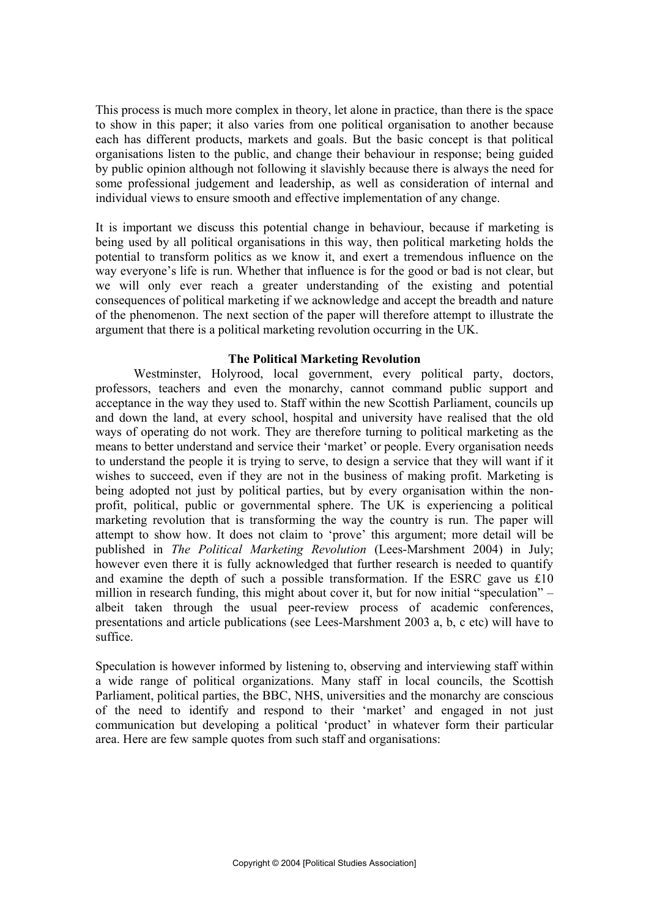This process is much more complex in theory, let alone in practice, than there is the space to show in this paper; it also varies from one political organisation to another because each has different products, markets and goals. But the basic concept is that political organisations listen to the public, and change their behaviour in response; being guided by public opinion although not following it slavishly because there is always the need for some professional judgement and leadership, as well as consideration of internal and individual views to ensure smooth and effective implementation of any change.

It is important we discuss this potential change in behaviour, because if marketing is being used by all political organisations in this way, then political marketing holds the potential to transform politics as we know it, and exert a tremendous influence on the way everyone's life is run. Whether that influence is for the good or bad is not clear, but we will only ever reach a greater understanding of the existing and potential consequences of political marketing if we acknowledge and accept the breadth and nature of the phenomenon. The next section of the paper will therefore attempt to illustrate the argument that there is a political marketing revolution occurring in the UK.

## The Political Marketing Revolution

Westminster, Holyrood, local government, every political party, doctors, professors, teachers and even the monarchy, cannot command public support and acceptance in the way they used to. Staff within the new Scottish Parliament, councils up and down the land, at every school, hospital and university have realised that the old ways of operating do not work. They are therefore turning to political marketing as the means to better understand and service their 'market' or people. Every organisation needs to understand the people it is trying to serve, to design a service that they will want if it wishes to succeed, even if they are not in the business of making profit. Marketing is being adopted not just by political parties, but by every organisation within the nonprofit, political, public or governmental sphere. The UK is experiencing a political marketing revolution that is transforming the way the country is run. The paper will attempt to show how. It does not claim to 'prove' this argument; more detail will be published in *The Political Marketing Revolution* (Lees-Marshment 2004) in July; however even there it is fully acknowledged that further research is needed to quantify and examine the depth of such a possible transformation. If the ESRC gave us £10 million in research funding, this might about cover it, but for now initial "speculation" – albeit taken through the usual peer-review process of academic conferences, presentations and article publications (see Lees-Marshment 2003 a, b, c etc) will have to suffice.

Speculation is however informed by listening to, observing and interviewing staff within a wide range of political organizations. Many staff in local councils, the Scottish Parliament, political parties, the BBC, NHS, universities and the monarchy are conscious of the need to identify and respond to their 'market' and engaged in not just communication but developing a political 'product' in whatever form their particular area. Here are few sample quotes from such staff and organisations: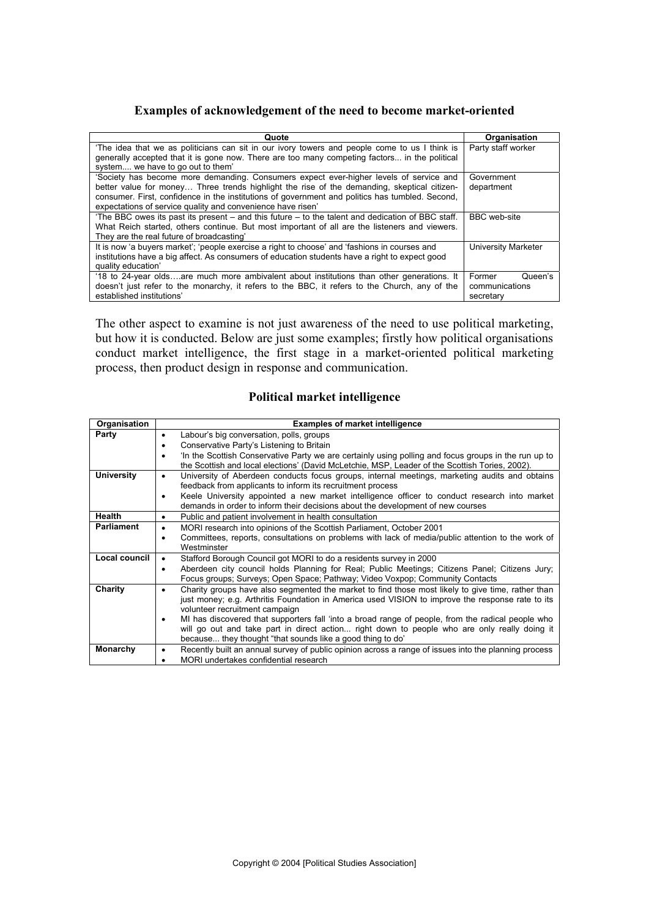## Examples of acknowledgement of the need to become market-oriented

| Quote                                                                                                                                                                                          | Organisation        |
|------------------------------------------------------------------------------------------------------------------------------------------------------------------------------------------------|---------------------|
| 'The idea that we as politicians can sit in our ivory towers and people come to us I think is<br>generally accepted that it is gone now. There are too many competing factors in the political | Party staff worker  |
| system, we have to go out to them'                                                                                                                                                             |                     |
| 'Society has become more demanding. Consumers expect ever-higher levels of service and                                                                                                         | Government          |
| better value for money Three trends highlight the rise of the demanding, skeptical citizen-                                                                                                    | department          |
| consumer. First, confidence in the institutions of government and politics has tumbled. Second,                                                                                                |                     |
| expectations of service quality and convenience have risen'                                                                                                                                    |                     |
| 'The BBC owes its past its present – and this future – to the talent and dedication of BBC staff.                                                                                              | <b>BBC</b> web-site |
| What Reich started, others continue. But most important of all are the listeners and viewers.                                                                                                  |                     |
| They are the real future of broadcasting'                                                                                                                                                      |                     |
| It is now 'a buyers market'; 'people exercise a right to choose' and 'fashions in courses and                                                                                                  | University Marketer |
| institutions have a big affect. As consumers of education students have a right to expect good                                                                                                 |                     |
| quality education'                                                                                                                                                                             |                     |
| '18 to 24-year oldsare much more ambivalent about institutions than other generations. It                                                                                                      | Former<br>Queen's   |
| doesn't just refer to the monarchy, it refers to the BBC, it refers to the Church, any of the                                                                                                  | communications      |
| established institutions'                                                                                                                                                                      | secretary           |

The other aspect to examine is not just awareness of the need to use political marketing, but how it is conducted. Below are just some examples; firstly how political organisations conduct market intelligence, the first stage in a market-oriented political marketing process, then product design in response and communication.

## Political market intelligence

| Organisation      | <b>Examples of market intelligence</b>                                                                            |  |  |
|-------------------|-------------------------------------------------------------------------------------------------------------------|--|--|
| Party             | Labour's big conversation, polls, groups<br>٠                                                                     |  |  |
|                   | Conservative Party's Listening to Britain<br>٠                                                                    |  |  |
|                   | 'In the Scottish Conservative Party we are certainly using polling and focus groups in the run up to<br>٠         |  |  |
|                   | the Scottish and local elections' (David McLetchie, MSP, Leader of the Scottish Tories, 2002).                    |  |  |
| <b>University</b> | University of Aberdeen conducts focus groups, internal meetings, marketing audits and obtains<br>$\bullet$        |  |  |
|                   | feedback from applicants to inform its recruitment process                                                        |  |  |
|                   | Keele University appointed a new market intelligence officer to conduct research into market<br>٠                 |  |  |
|                   | demands in order to inform their decisions about the development of new courses                                   |  |  |
| <b>Health</b>     | Public and patient involvement in health consultation<br>$\bullet$                                                |  |  |
| <b>Parliament</b> | MORI research into opinions of the Scottish Parliament, October 2001<br>٠                                         |  |  |
|                   | Committees, reports, consultations on problems with lack of media/public attention to the work of<br>٠            |  |  |
|                   | Westminster                                                                                                       |  |  |
| Local council     | Stafford Borough Council got MORI to do a residents survey in 2000<br>$\bullet$                                   |  |  |
|                   | Aberdeen city council holds Planning for Real; Public Meetings; Citizens Panel; Citizens Jury;<br>$\bullet$       |  |  |
|                   | Focus groups; Surveys; Open Space; Pathway; Video Voxpop; Community Contacts                                      |  |  |
| Charity           | Charity groups have also segmented the market to find those most likely to give time, rather than<br>٠            |  |  |
|                   | just money; e.g. Arthritis Foundation in America used VISION to improve the response rate to its                  |  |  |
|                   | volunteer recruitment campaign                                                                                    |  |  |
|                   | MI has discovered that supporters fall 'into a broad range of people, from the radical people who                 |  |  |
|                   | will go out and take part in direct action right down to people who are only really doing it                      |  |  |
|                   | because they thought "that sounds like a good thing to do"                                                        |  |  |
| Monarchy          | Recently built an annual survey of public opinion across a range of issues into the planning process<br>$\bullet$ |  |  |
|                   | MORI undertakes confidential research                                                                             |  |  |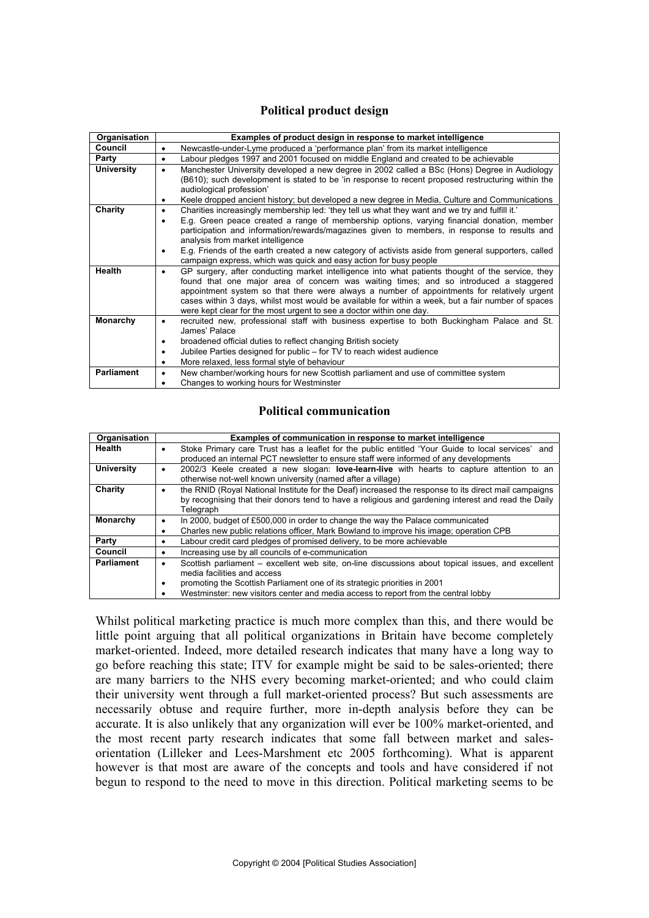## Political product design

| Organisation      | Examples of product design in response to market intelligence                                                                                                                                                                                                                                                                                                                                                                                                                                                                 |  |  |
|-------------------|-------------------------------------------------------------------------------------------------------------------------------------------------------------------------------------------------------------------------------------------------------------------------------------------------------------------------------------------------------------------------------------------------------------------------------------------------------------------------------------------------------------------------------|--|--|
| Council           | Newcastle-under-Lyme produced a 'performance plan' from its market intelligence<br>٠                                                                                                                                                                                                                                                                                                                                                                                                                                          |  |  |
| Party             | Labour pledges 1997 and 2001 focused on middle England and created to be achievable<br>$\bullet$                                                                                                                                                                                                                                                                                                                                                                                                                              |  |  |
| <b>University</b> | Manchester University developed a new degree in 2002 called a BSc (Hons) Degree in Audiology<br>$\bullet$<br>(B610); such development is stated to be 'in response to recent proposed restructuring within the<br>audiological profession'<br>Keele dropped ancient history; but developed a new degree in Media, Culture and Communications                                                                                                                                                                                  |  |  |
| Charity           | Charities increasingly membership led: 'they tell us what they want and we try and fulfill it.'<br>٠<br>E.g. Green peace created a range of membership options, varying financial donation, member<br>٠<br>participation and information/rewards/magazines given to members, in response to results and<br>analysis from market intelligence<br>E.g. Friends of the earth created a new category of activists aside from general supporters, called<br>٠<br>campaign express, which was quick and easy action for busy people |  |  |
| Health            | GP surgery, after conducting market intelligence into what patients thought of the service, they<br>$\bullet$<br>found that one major area of concern was waiting times; and so introduced a staggered<br>appointment system so that there were always a number of appointments for relatively urgent<br>cases within 3 days, whilst most would be available for within a week, but a fair number of spaces<br>were kept clear for the most urgent to see a doctor within one day.                                            |  |  |
| Monarchy          | recruited new, professional staff with business expertise to both Buckingham Palace and St.<br>٠<br>James' Palace<br>broadened official duties to reflect changing British society<br>Jubilee Parties designed for public – for TV to reach widest audience<br>More relaxed, less formal style of behaviour                                                                                                                                                                                                                   |  |  |
| <b>Parliament</b> | New chamber/working hours for new Scottish parliament and use of committee system<br>٠<br>Changes to working hours for Westminster                                                                                                                                                                                                                                                                                                                                                                                            |  |  |

### Political communication

| Organisation      | Examples of communication in response to market intelligence                                                                                                                                                                                                                                        |
|-------------------|-----------------------------------------------------------------------------------------------------------------------------------------------------------------------------------------------------------------------------------------------------------------------------------------------------|
| Health            | Stoke Primary care Trust has a leaflet for the public entitled 'Your Guide to local services' and<br>produced an internal PCT newsletter to ensure staff were informed of any developments                                                                                                          |
| <b>University</b> | 2002/3 Keele created a new slogan: <b>love-learn-live</b> with hearts to capture attention to an<br>٠<br>otherwise not-well known university (named after a village)                                                                                                                                |
| Charity           | the RNID (Royal National Institute for the Deaf) increased the response to its direct mail campaigns<br>by recognising that their donors tend to have a religious and gardening interest and read the Daily<br>Telegraph                                                                            |
| <b>Monarchy</b>   | In 2000, budget of £500,000 in order to change the way the Palace communicated                                                                                                                                                                                                                      |
|                   | Charles new public relations officer, Mark Bowland to improve his image; operation CPB                                                                                                                                                                                                              |
| Party             | Labour credit card pledges of promised delivery, to be more achievable                                                                                                                                                                                                                              |
| Council           | Increasing use by all councils of e-communication<br>$\bullet$                                                                                                                                                                                                                                      |
| <b>Parliament</b> | Scottish parliament – excellent web site, on-line discussions about topical issues, and excellent<br>media facilities and access<br>promoting the Scottish Parliament one of its strategic priorities in 2001<br>Westminster: new visitors center and media access to report from the central lobby |

Whilst political marketing practice is much more complex than this, and there would be little point arguing that all political organizations in Britain have become completely market-oriented. Indeed, more detailed research indicates that many have a long way to go before reaching this state; ITV for example might be said to be sales-oriented; there are many barriers to the NHS every becoming market-oriented; and who could claim their university went through a full market-oriented process? But such assessments are necessarily obtuse and require further, more in-depth analysis before they can be accurate. It is also unlikely that any organization will ever be 100% market-oriented, and the most recent party research indicates that some fall between market and salesorientation (Lilleker and Lees-Marshment etc 2005 forthcoming). What is apparent however is that most are aware of the concepts and tools and have considered if not begun to respond to the need to move in this direction. Political marketing seems to be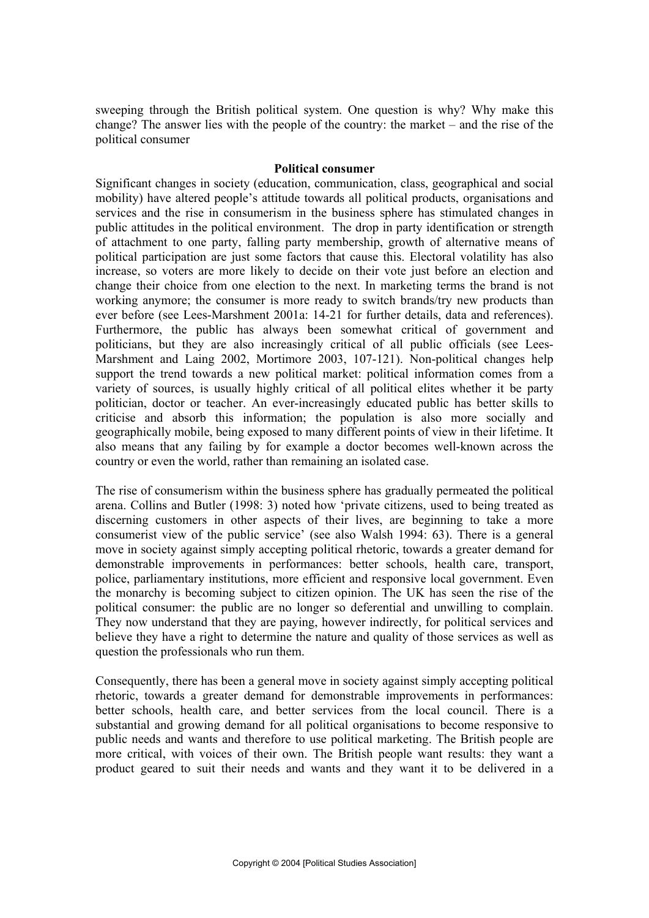sweeping through the British political system. One question is why? Why make this change? The answer lies with the people of the country: the market – and the rise of the political consumer

#### Political consumer

Significant changes in society (education, communication, class, geographical and social mobility) have altered people's attitude towards all political products, organisations and services and the rise in consumerism in the business sphere has stimulated changes in public attitudes in the political environment. The drop in party identification or strength of attachment to one party, falling party membership, growth of alternative means of political participation are just some factors that cause this. Electoral volatility has also increase, so voters are more likely to decide on their vote just before an election and change their choice from one election to the next. In marketing terms the brand is not working anymore; the consumer is more ready to switch brands/try new products than ever before (see Lees-Marshment 2001a: 14-21 for further details, data and references). Furthermore, the public has always been somewhat critical of government and politicians, but they are also increasingly critical of all public officials (see Lees-Marshment and Laing 2002, Mortimore 2003, 107-121). Non-political changes help support the trend towards a new political market: political information comes from a variety of sources, is usually highly critical of all political elites whether it be party politician, doctor or teacher. An ever-increasingly educated public has better skills to criticise and absorb this information; the population is also more socially and geographically mobile, being exposed to many different points of view in their lifetime. It also means that any failing by for example a doctor becomes well-known across the country or even the world, rather than remaining an isolated case.

The rise of consumerism within the business sphere has gradually permeated the political arena. Collins and Butler (1998: 3) noted how 'private citizens, used to being treated as discerning customers in other aspects of their lives, are beginning to take a more consumerist view of the public service' (see also Walsh 1994: 63). There is a general move in society against simply accepting political rhetoric, towards a greater demand for demonstrable improvements in performances: better schools, health care, transport, police, parliamentary institutions, more efficient and responsive local government. Even the monarchy is becoming subject to citizen opinion. The UK has seen the rise of the political consumer: the public are no longer so deferential and unwilling to complain. They now understand that they are paying, however indirectly, for political services and believe they have a right to determine the nature and quality of those services as well as question the professionals who run them.

Consequently, there has been a general move in society against simply accepting political rhetoric, towards a greater demand for demonstrable improvements in performances: better schools, health care, and better services from the local council. There is a substantial and growing demand for all political organisations to become responsive to public needs and wants and therefore to use political marketing. The British people are more critical, with voices of their own. The British people want results: they want a product geared to suit their needs and wants and they want it to be delivered in a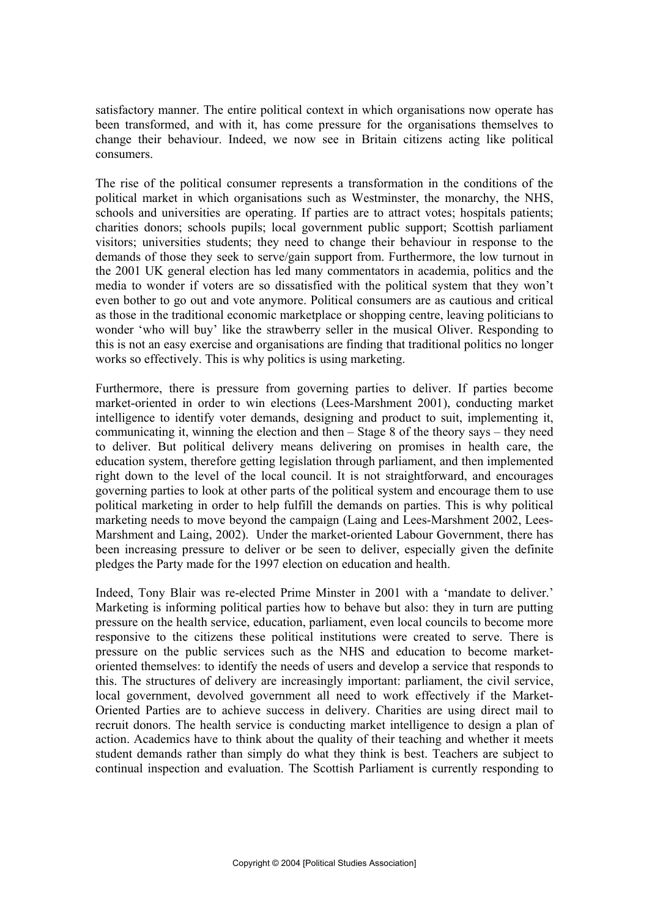satisfactory manner. The entire political context in which organisations now operate has been transformed, and with it, has come pressure for the organisations themselves to change their behaviour. Indeed, we now see in Britain citizens acting like political consumers.

The rise of the political consumer represents a transformation in the conditions of the political market in which organisations such as Westminster, the monarchy, the NHS, schools and universities are operating. If parties are to attract votes; hospitals patients; charities donors; schools pupils; local government public support; Scottish parliament visitors; universities students; they need to change their behaviour in response to the demands of those they seek to serve/gain support from. Furthermore, the low turnout in the 2001 UK general election has led many commentators in academia, politics and the media to wonder if voters are so dissatisfied with the political system that they won't even bother to go out and vote anymore. Political consumers are as cautious and critical as those in the traditional economic marketplace or shopping centre, leaving politicians to wonder 'who will buy' like the strawberry seller in the musical Oliver. Responding to this is not an easy exercise and organisations are finding that traditional politics no longer works so effectively. This is why politics is using marketing.

Furthermore, there is pressure from governing parties to deliver. If parties become market-oriented in order to win elections (Lees-Marshment 2001), conducting market intelligence to identify voter demands, designing and product to suit, implementing it, communicating it, winning the election and then – Stage 8 of the theory says – they need to deliver. But political delivery means delivering on promises in health care, the education system, therefore getting legislation through parliament, and then implemented right down to the level of the local council. It is not straightforward, and encourages governing parties to look at other parts of the political system and encourage them to use political marketing in order to help fulfill the demands on parties. This is why political marketing needs to move beyond the campaign (Laing and Lees-Marshment 2002, Lees-Marshment and Laing, 2002). Under the market-oriented Labour Government, there has been increasing pressure to deliver or be seen to deliver, especially given the definite pledges the Party made for the 1997 election on education and health.

Indeed, Tony Blair was re-elected Prime Minster in 2001 with a 'mandate to deliver.' Marketing is informing political parties how to behave but also: they in turn are putting pressure on the health service, education, parliament, even local councils to become more responsive to the citizens these political institutions were created to serve. There is pressure on the public services such as the NHS and education to become marketoriented themselves: to identify the needs of users and develop a service that responds to this. The structures of delivery are increasingly important: parliament, the civil service, local government, devolved government all need to work effectively if the Market-Oriented Parties are to achieve success in delivery. Charities are using direct mail to recruit donors. The health service is conducting market intelligence to design a plan of action. Academics have to think about the quality of their teaching and whether it meets student demands rather than simply do what they think is best. Teachers are subject to continual inspection and evaluation. The Scottish Parliament is currently responding to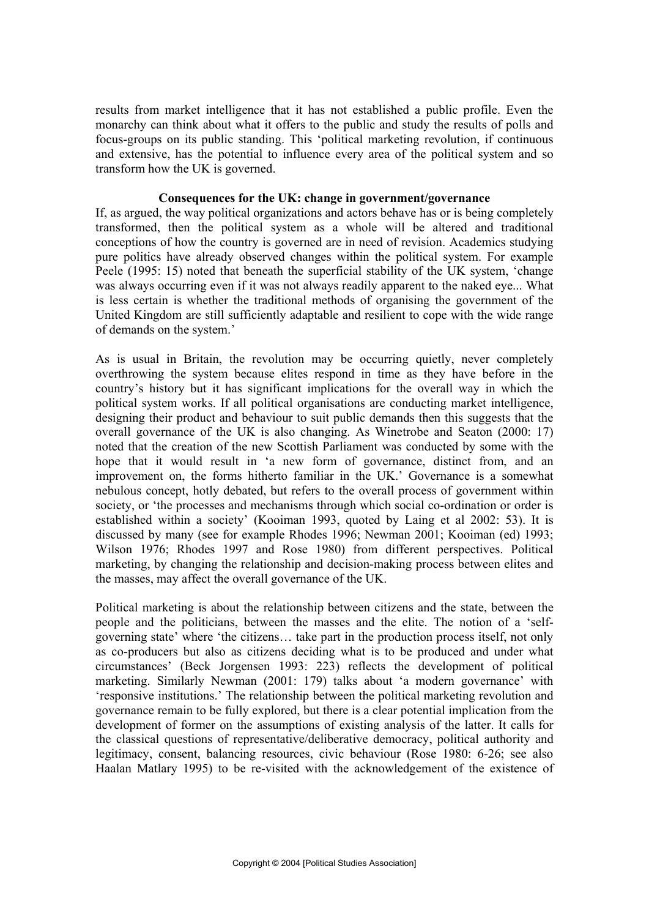results from market intelligence that it has not established a public profile. Even the monarchy can think about what it offers to the public and study the results of polls and focus-groups on its public standing. This 'political marketing revolution, if continuous and extensive, has the potential to influence every area of the political system and so transform how the UK is governed.

### Consequences for the UK: change in government/governance

If, as argued, the way political organizations and actors behave has or is being completely transformed, then the political system as a whole will be altered and traditional conceptions of how the country is governed are in need of revision. Academics studying pure politics have already observed changes within the political system. For example Peele (1995: 15) noted that beneath the superficial stability of the UK system, 'change was always occurring even if it was not always readily apparent to the naked eye... What is less certain is whether the traditional methods of organising the government of the United Kingdom are still sufficiently adaptable and resilient to cope with the wide range of demands on the system.'

As is usual in Britain, the revolution may be occurring quietly, never completely overthrowing the system because elites respond in time as they have before in the country's history but it has significant implications for the overall way in which the political system works. If all political organisations are conducting market intelligence, designing their product and behaviour to suit public demands then this suggests that the overall governance of the UK is also changing. As Winetrobe and Seaton (2000: 17) noted that the creation of the new Scottish Parliament was conducted by some with the hope that it would result in 'a new form of governance, distinct from, and an improvement on, the forms hitherto familiar in the UK.' Governance is a somewhat nebulous concept, hotly debated, but refers to the overall process of government within society, or 'the processes and mechanisms through which social co-ordination or order is established within a society' (Kooiman 1993, quoted by Laing et al 2002: 53). It is discussed by many (see for example Rhodes 1996; Newman 2001; Kooiman (ed) 1993; Wilson 1976; Rhodes 1997 and Rose 1980) from different perspectives. Political marketing, by changing the relationship and decision-making process between elites and the masses, may affect the overall governance of the UK.

Political marketing is about the relationship between citizens and the state, between the people and the politicians, between the masses and the elite. The notion of a 'selfgoverning state' where 'the citizens… take part in the production process itself, not only as co-producers but also as citizens deciding what is to be produced and under what circumstances' (Beck Jorgensen 1993: 223) reflects the development of political marketing. Similarly Newman (2001: 179) talks about 'a modern governance' with 'responsive institutions.' The relationship between the political marketing revolution and governance remain to be fully explored, but there is a clear potential implication from the development of former on the assumptions of existing analysis of the latter. It calls for the classical questions of representative/deliberative democracy, political authority and legitimacy, consent, balancing resources, civic behaviour (Rose 1980: 6-26; see also Haalan Matlary 1995) to be re-visited with the acknowledgement of the existence of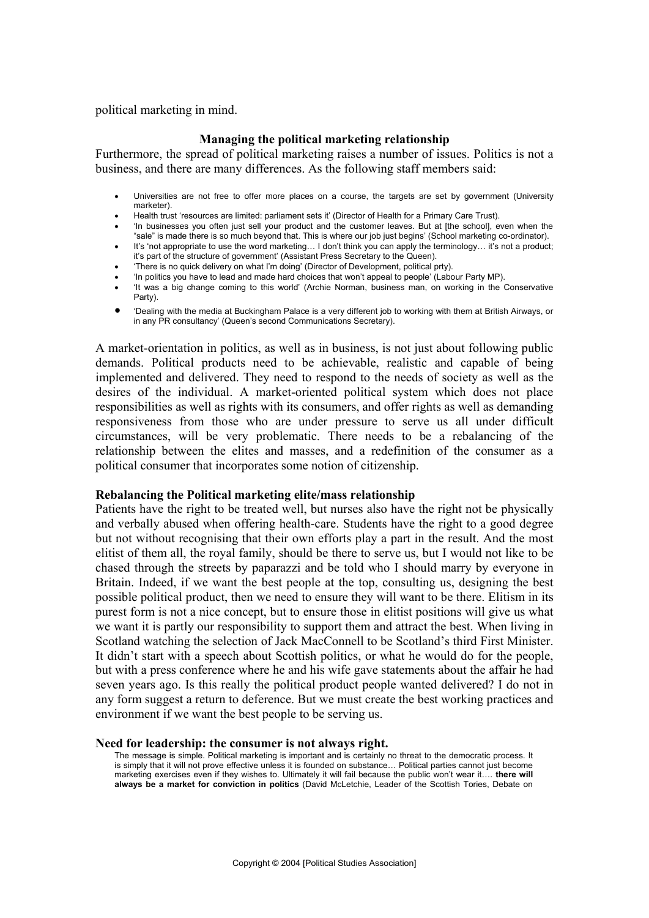political marketing in mind.

### Managing the political marketing relationship

Furthermore, the spread of political marketing raises a number of issues. Politics is not a business, and there are many differences. As the following staff members said:

- Universities are not free to offer more places on a course, the targets are set by government (University marketer).
- Health trust 'resources are limited: parliament sets it' (Director of Health for a Primary Care Trust).
- 'In businesses you often just sell your product and the customer leaves. But at [the school], even when the "sale" is made there is so much beyond that. This is where our job just begins' (School marketing co-ordinator).
- It's 'not appropriate to use the word marketing... I don't think you can apply the terminology... it's not a product; it's part of the structure of government' (Assistant Press Secretary to the Queen).
- 'There is no quick delivery on what I'm doing' (Director of Development, political prty).
- 'In politics you have to lead and made hard choices that won't appeal to people' (Labour Party MP).
- 'It was a big change coming to this world' (Archie Norman, business man, on working in the Conservative Party).
- **•** 'Dealing with the media at Buckingham Palace is a very different job to working with them at British Airways, or in any PR consultancy' (Queen's second Communications Secretary).

A market-orientation in politics, as well as in business, is not just about following public demands. Political products need to be achievable, realistic and capable of being implemented and delivered. They need to respond to the needs of society as well as the desires of the individual. A market-oriented political system which does not place responsibilities as well as rights with its consumers, and offer rights as well as demanding responsiveness from those who are under pressure to serve us all under difficult circumstances, will be very problematic. There needs to be a rebalancing of the relationship between the elites and masses, and a redefinition of the consumer as a political consumer that incorporates some notion of citizenship.

#### Rebalancing the Political marketing elite/mass relationship

Patients have the right to be treated well, but nurses also have the right not be physically and verbally abused when offering health-care. Students have the right to a good degree but not without recognising that their own efforts play a part in the result. And the most elitist of them all, the royal family, should be there to serve us, but I would not like to be chased through the streets by paparazzi and be told who I should marry by everyone in Britain. Indeed, if we want the best people at the top, consulting us, designing the best possible political product, then we need to ensure they will want to be there. Elitism in its purest form is not a nice concept, but to ensure those in elitist positions will give us what we want it is partly our responsibility to support them and attract the best. When living in Scotland watching the selection of Jack MacConnell to be Scotland's third First Minister. It didn't start with a speech about Scottish politics, or what he would do for the people, but with a press conference where he and his wife gave statements about the affair he had seven years ago. Is this really the political product people wanted delivered? I do not in any form suggest a return to deference. But we must create the best working practices and environment if we want the best people to be serving us.

#### Need for leadership: the consumer is not always right.

The message is simple. Political marketing is important and is certainly no threat to the democratic process. It is simply that it will not prove effective unless it is founded on substance… Political parties cannot just become marketing exercises even if they wishes to. Ultimately it will fail because the public won't wear it…. **there will always be a market for conviction in politics** (David McLetchie, Leader of the Scottish Tories, Debate on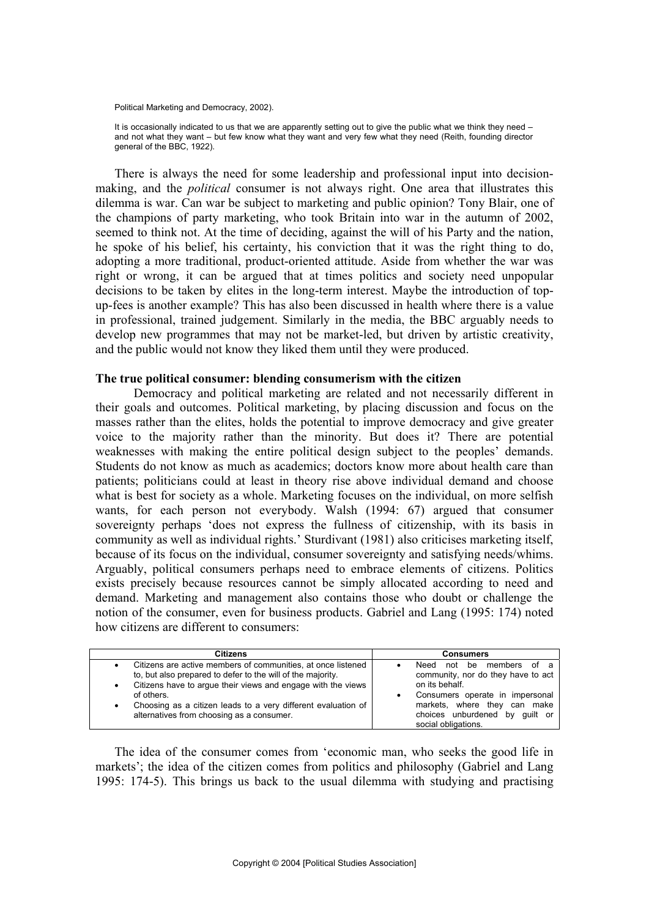Political Marketing and Democracy, 2002).

It is occasionally indicated to us that we are apparently setting out to give the public what we think they need – and not what they want – but few know what they want and very few what they need (Reith, founding director general of the BBC, 1922).

There is always the need for some leadership and professional input into decisionmaking, and the *political* consumer is not always right. One area that illustrates this dilemma is war. Can war be subject to marketing and public opinion? Tony Blair, one of the champions of party marketing, who took Britain into war in the autumn of 2002, seemed to think not. At the time of deciding, against the will of his Party and the nation, he spoke of his belief, his certainty, his conviction that it was the right thing to do, adopting a more traditional, product-oriented attitude. Aside from whether the war was right or wrong, it can be argued that at times politics and society need unpopular decisions to be taken by elites in the long-term interest. Maybe the introduction of topup-fees is another example? This has also been discussed in health where there is a value in professional, trained judgement. Similarly in the media, the BBC arguably needs to develop new programmes that may not be market-led, but driven by artistic creativity, and the public would not know they liked them until they were produced.

#### The true political consumer: blending consumerism with the citizen

Democracy and political marketing are related and not necessarily different in their goals and outcomes. Political marketing, by placing discussion and focus on the masses rather than the elites, holds the potential to improve democracy and give greater voice to the majority rather than the minority. But does it? There are potential weaknesses with making the entire political design subject to the peoples' demands. Students do not know as much as academics; doctors know more about health care than patients; politicians could at least in theory rise above individual demand and choose what is best for society as a whole. Marketing focuses on the individual, on more selfish wants, for each person not everybody. Walsh (1994: 67) argued that consumer sovereignty perhaps 'does not express the fullness of citizenship, with its basis in community as well as individual rights.' Sturdivant (1981) also criticises marketing itself, because of its focus on the individual, consumer sovereignty and satisfying needs/whims. Arguably, political consumers perhaps need to embrace elements of citizens. Politics exists precisely because resources cannot be simply allocated according to need and demand. Marketing and management also contains those who doubt or challenge the notion of the consumer, even for business products. Gabriel and Lang (1995: 174) noted how citizens are different to consumers:

| <b>Citizens</b>                                                                                                                                                                                                                                                                                                                   | <b>Consumers</b>                                                                                                                                                                                                         |
|-----------------------------------------------------------------------------------------------------------------------------------------------------------------------------------------------------------------------------------------------------------------------------------------------------------------------------------|--------------------------------------------------------------------------------------------------------------------------------------------------------------------------------------------------------------------------|
| Citizens are active members of communities, at once listened<br>to, but also prepared to defer to the will of the majority.<br>Citizens have to arque their views and engage with the views<br>٠<br>of others.<br>Choosing as a citizen leads to a very different evaluation of<br>٠<br>alternatives from choosing as a consumer. | members<br>not<br>of a<br>Need<br>be<br>community, nor do they have to act<br>on its behalf.<br>Consumers operate in impersonal<br>markets, where they can make<br>choices unburdened by quilt or<br>social obligations. |

The idea of the consumer comes from 'economic man, who seeks the good life in markets'; the idea of the citizen comes from politics and philosophy (Gabriel and Lang 1995: 174-5). This brings us back to the usual dilemma with studying and practising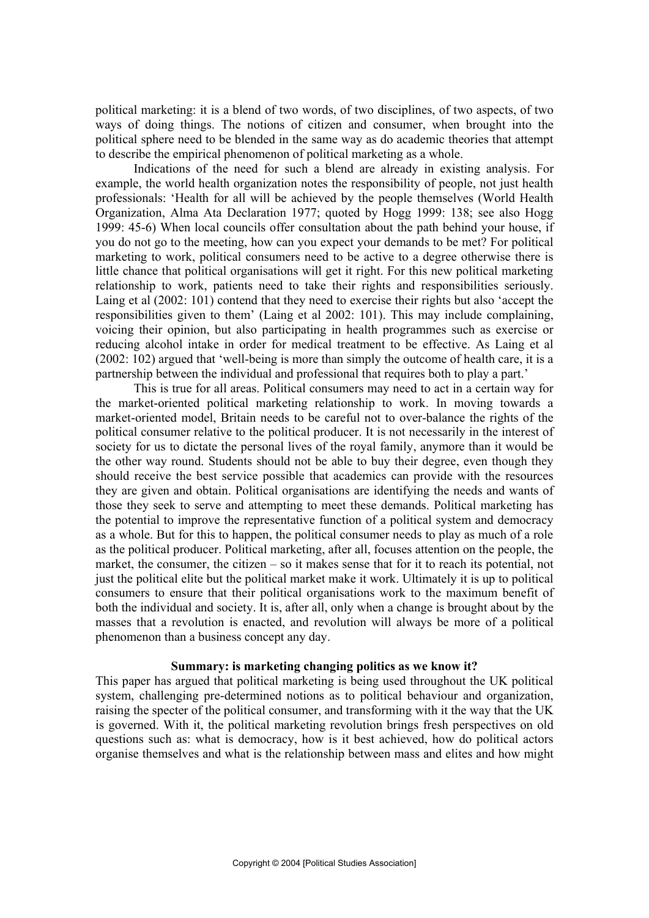political marketing: it is a blend of two words, of two disciplines, of two aspects, of two ways of doing things. The notions of citizen and consumer, when brought into the political sphere need to be blended in the same way as do academic theories that attempt to describe the empirical phenomenon of political marketing as a whole.

 Indications of the need for such a blend are already in existing analysis. For example, the world health organization notes the responsibility of people, not just health professionals: 'Health for all will be achieved by the people themselves (World Health Organization, Alma Ata Declaration 1977; quoted by Hogg 1999: 138; see also Hogg 1999: 45-6) When local councils offer consultation about the path behind your house, if you do not go to the meeting, how can you expect your demands to be met? For political marketing to work, political consumers need to be active to a degree otherwise there is little chance that political organisations will get it right. For this new political marketing relationship to work, patients need to take their rights and responsibilities seriously. Laing et al (2002: 101) contend that they need to exercise their rights but also 'accept the responsibilities given to them' (Laing et al 2002: 101). This may include complaining, voicing their opinion, but also participating in health programmes such as exercise or reducing alcohol intake in order for medical treatment to be effective. As Laing et al (2002: 102) argued that 'well-being is more than simply the outcome of health care, it is a partnership between the individual and professional that requires both to play a part.'

This is true for all areas. Political consumers may need to act in a certain way for the market-oriented political marketing relationship to work. In moving towards a market-oriented model, Britain needs to be careful not to over-balance the rights of the political consumer relative to the political producer. It is not necessarily in the interest of society for us to dictate the personal lives of the royal family, anymore than it would be the other way round. Students should not be able to buy their degree, even though they should receive the best service possible that academics can provide with the resources they are given and obtain. Political organisations are identifying the needs and wants of those they seek to serve and attempting to meet these demands. Political marketing has the potential to improve the representative function of a political system and democracy as a whole. But for this to happen, the political consumer needs to play as much of a role as the political producer. Political marketing, after all, focuses attention on the people, the market, the consumer, the citizen – so it makes sense that for it to reach its potential, not just the political elite but the political market make it work. Ultimately it is up to political consumers to ensure that their political organisations work to the maximum benefit of both the individual and society. It is, after all, only when a change is brought about by the masses that a revolution is enacted, and revolution will always be more of a political phenomenon than a business concept any day.

#### Summary: is marketing changing politics as we know it?

This paper has argued that political marketing is being used throughout the UK political system, challenging pre-determined notions as to political behaviour and organization, raising the specter of the political consumer, and transforming with it the way that the UK is governed. With it, the political marketing revolution brings fresh perspectives on old questions such as: what is democracy, how is it best achieved, how do political actors organise themselves and what is the relationship between mass and elites and how might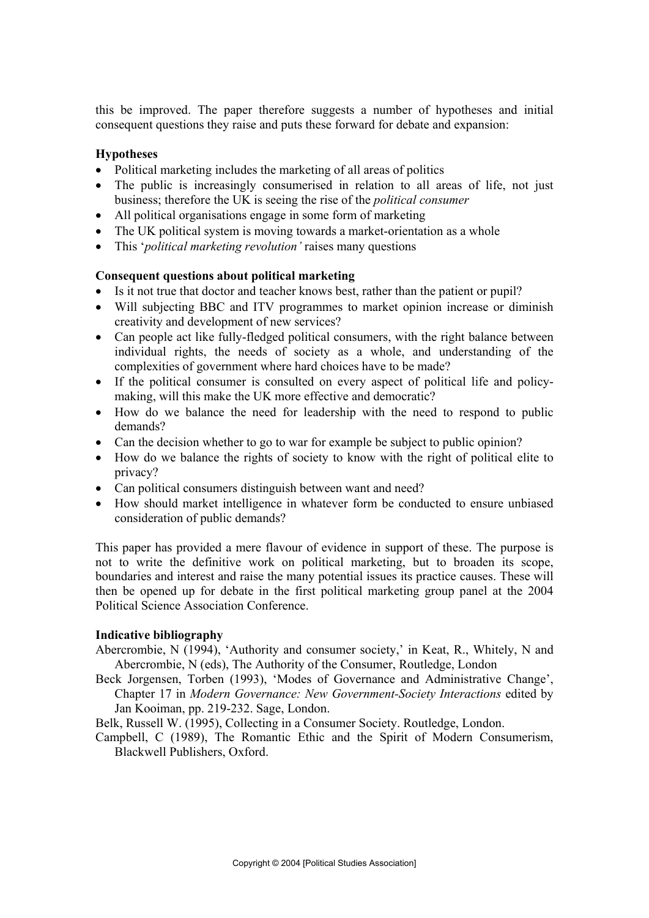this be improved. The paper therefore suggests a number of hypotheses and initial consequent questions they raise and puts these forward for debate and expansion:

## Hypotheses

- Political marketing includes the marketing of all areas of politics
- The public is increasingly consumerised in relation to all areas of life, not just business; therefore the UK is seeing the rise of the *political consumer*
- All political organisations engage in some form of marketing
- The UK political system is moving towards a market-orientation as a whole
- This *'political marketing revolution'* raises many questions

## Consequent questions about political marketing

- Is it not true that doctor and teacher knows best, rather than the patient or pupil?
- Will subjecting BBC and ITV programmes to market opinion increase or diminish creativity and development of new services?
- $\bullet$  Can people act like fully-fledged political consumers, with the right balance between individual rights, the needs of society as a whole, and understanding of the complexities of government where hard choices have to be made?
- If the political consumer is consulted on every aspect of political life and policymaking, will this make the UK more effective and democratic?
- How do we balance the need for leadership with the need to respond to public demands?
- Can the decision whether to go to war for example be subject to public opinion?
- How do we balance the rights of society to know with the right of political elite to privacy?
- Can political consumers distinguish between want and need?
- How should market intelligence in whatever form be conducted to ensure unbiased consideration of public demands?

This paper has provided a mere flavour of evidence in support of these. The purpose is not to write the definitive work on political marketing, but to broaden its scope, boundaries and interest and raise the many potential issues its practice causes. These will then be opened up for debate in the first political marketing group panel at the 2004 Political Science Association Conference.

#### Indicative bibliography

- Abercrombie, N (1994), 'Authority and consumer society,' in Keat, R., Whitely, N and Abercrombie, N (eds), The Authority of the Consumer, Routledge, London
- Beck Jorgensen, Torben (1993), 'Modes of Governance and Administrative Change', Chapter 17 in *Modern Governance: New Government-Society Interactions* edited by Jan Kooiman, pp. 219-232. Sage, London.

Belk, Russell W. (1995), Collecting in a Consumer Society. Routledge, London.

Campbell, C (1989), The Romantic Ethic and the Spirit of Modern Consumerism, Blackwell Publishers, Oxford.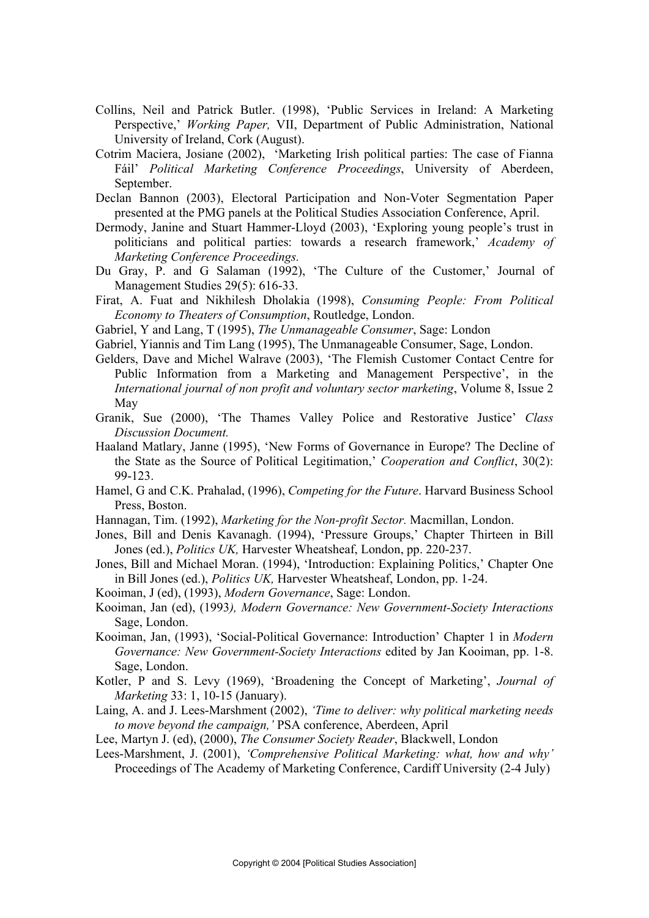- Collins, Neil and Patrick Butler. (1998), 'Public Services in Ireland: A Marketing Perspective,' *Working Paper,* VII, Department of Public Administration, National University of Ireland, Cork (August).
- Cotrim Maciera, Josiane (2002), 'Marketing Irish political parties: The case of Fianna Fáil' *Political Marketing Conference Proceedings*, University of Aberdeen, September.
- Declan Bannon (2003), Electoral Participation and Non-Voter Segmentation Paper presented at the PMG panels at the Political Studies Association Conference, April.
- Dermody, Janine and Stuart Hammer-Lloyd (2003), 'Exploring young people's trust in politicians and political parties: towards a research framework,' *Academy of Marketing Conference Proceedings.*
- Du Gray, P. and G Salaman (1992), 'The Culture of the Customer,' Journal of Management Studies 29(5): 616-33.
- Firat, A. Fuat and Nikhilesh Dholakia (1998), *Consuming People: From Political Economy to Theaters of Consumption*, Routledge, London.
- Gabriel, Y and Lang, T (1995), *The Unmanageable Consumer*, Sage: London
- Gabriel, Yiannis and Tim Lang (1995), The Unmanageable Consumer, Sage, London.
- Gelders, Dave and Michel Walrave (2003), 'The Flemish Customer Contact Centre for Public Information from a Marketing and Management Perspective', in the *International journal of non profit and voluntary sector marketing*, Volume 8, Issue 2 May
- Granik, Sue (2000), 'The Thames Valley Police and Restorative Justice' *Class Discussion Document.*
- Haaland Matlary, Janne (1995), 'New Forms of Governance in Europe? The Decline of the State as the Source of Political Legitimation,' *Cooperation and Conflict*, 30(2): 99-123.
- Hamel, G and C.K. Prahalad, (1996), *Competing for the Future*. Harvard Business School Press, Boston.
- Hannagan, Tim. (1992), *Marketing for the Non-profit Sector.* Macmillan, London.
- Jones, Bill and Denis Kavanagh. (1994), 'Pressure Groups,' Chapter Thirteen in Bill Jones (ed.), *Politics UK,* Harvester Wheatsheaf, London, pp. 220-237.
- Jones, Bill and Michael Moran. (1994), 'Introduction: Explaining Politics,' Chapter One in Bill Jones (ed.), *Politics UK,* Harvester Wheatsheaf, London, pp. 1-24.
- Kooiman, J (ed), (1993), *Modern Governance*, Sage: London.
- Kooiman, Jan (ed), (1993*), Modern Governance: New Government-Society Interactions* Sage, London.
- Kooiman, Jan, (1993), 'Social-Political Governance: Introduction' Chapter 1 in *Modern Governance: New Government-Society Interactions* edited by Jan Kooiman, pp. 1-8. Sage, London.
- Kotler, P and S. Levy (1969), 'Broadening the Concept of Marketing', *Journal of Marketing* 33: 1, 10-15 (January).
- Laing, A. and J. Lees-Marshment (2002), *'Time to deliver: why political marketing needs to move beyond the campaign,'* PSA conference, Aberdeen, April
- Lee, Martyn J. (ed), (2000), *The Consumer Society Reader*, Blackwell, London
- Lees-Marshment, J. (2001), *'Comprehensive Political Marketing: what, how and why'* Proceedings of The Academy of Marketing Conference, Cardiff University (2-4 July)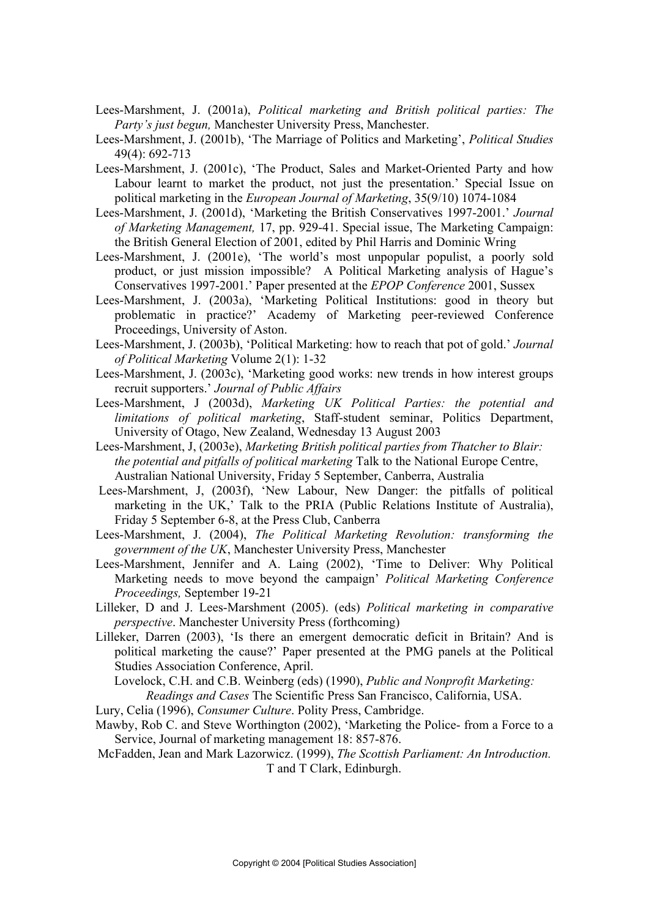- Lees-Marshment, J. (2001a), *Political marketing and British political parties: The Party's just begun,* Manchester University Press, Manchester.
- Lees-Marshment, J. (2001b), 'The Marriage of Politics and Marketing', *Political Studies* 49(4): 692-713
- Lees-Marshment, J. (2001c), 'The Product, Sales and Market-Oriented Party and how Labour learnt to market the product, not just the presentation.' Special Issue on political marketing in the *European Journal of Marketing*, 35(9/10) 1074-1084
- Lees-Marshment, J. (2001d), 'Marketing the British Conservatives 1997-2001.' *Journal of Marketing Management,* 17, pp. 929-41. Special issue, The Marketing Campaign: the British General Election of 2001, edited by Phil Harris and Dominic Wring
- Lees-Marshment, J. (2001e), 'The world's most unpopular populist, a poorly sold product, or just mission impossible? A Political Marketing analysis of Hague's Conservatives 1997-2001.' Paper presented at the *EPOP Conference* 2001, Sussex
- Lees-Marshment, J. (2003a), 'Marketing Political Institutions: good in theory but problematic in practice?' Academy of Marketing peer-reviewed Conference Proceedings, University of Aston.
- Lees-Marshment, J. (2003b), 'Political Marketing: how to reach that pot of gold.' *Journal of Political Marketing* Volume 2(1): 1-32
- Lees-Marshment, J. (2003c), 'Marketing good works: new trends in how interest groups recruit supporters.' *Journal of Public Affairs*
- Lees-Marshment, J (2003d), *Marketing UK Political Parties: the potential and limitations of political marketing*, Staff-student seminar, Politics Department, University of Otago, New Zealand, Wednesday 13 August 2003
- Lees-Marshment, J, (2003e), *Marketing British political parties from Thatcher to Blair: the potential and pitfalls of political marketing* Talk to the National Europe Centre, Australian National University, Friday 5 September, Canberra, Australia
- Lees-Marshment, J, (2003f), 'New Labour, New Danger: the pitfalls of political marketing in the UK,' Talk to the PRIA (Public Relations Institute of Australia), Friday 5 September 6-8, at the Press Club, Canberra
- Lees-Marshment, J. (2004), *The Political Marketing Revolution: transforming the government of the UK*, Manchester University Press, Manchester
- Lees-Marshment, Jennifer and A. Laing (2002), 'Time to Deliver: Why Political Marketing needs to move beyond the campaign' *Political Marketing Conference Proceedings,* September 19-21
- Lilleker, D and J. Lees-Marshment (2005). (eds) *Political marketing in comparative perspective*. Manchester University Press (forthcoming)
- Lilleker, Darren (2003), 'Is there an emergent democratic deficit in Britain? And is political marketing the cause?' Paper presented at the PMG panels at the Political Studies Association Conference, April.

Lovelock, C.H. and C.B. Weinberg (eds) (1990), *Public and Nonprofit Marketing: Readings and Cases* The Scientific Press San Francisco, California, USA.

- Lury, Celia (1996), *Consumer Culture*. Polity Press, Cambridge.
- Mawby, Rob C. and Steve Worthington (2002), 'Marketing the Police- from a Force to a Service, Journal of marketing management 18: 857-876.
- McFadden, Jean and Mark Lazorwicz. (1999), *The Scottish Parliament: An Introduction.* T and T Clark, Edinburgh.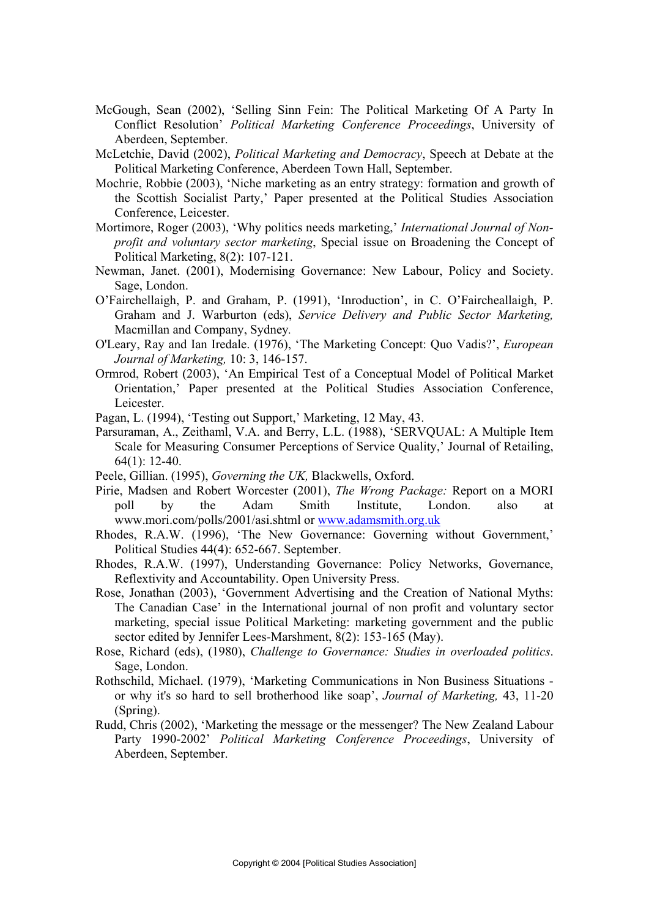- McGough, Sean (2002), 'Selling Sinn Fein: The Political Marketing Of A Party In Conflict Resolution' *Political Marketing Conference Proceedings*, University of Aberdeen, September.
- McLetchie, David (2002), *Political Marketing and Democracy*, Speech at Debate at the Political Marketing Conference, Aberdeen Town Hall, September.
- Mochrie, Robbie (2003), 'Niche marketing as an entry strategy: formation and growth of the Scottish Socialist Party,' Paper presented at the Political Studies Association Conference, Leicester.
- Mortimore, Roger (2003), 'Why politics needs marketing,' *International Journal of Nonprofit and voluntary sector marketing*, Special issue on Broadening the Concept of Political Marketing, 8(2): 107-121.
- Newman, Janet. (2001), Modernising Governance: New Labour, Policy and Society. Sage, London.
- O'Fairchellaigh, P. and Graham, P. (1991), 'Inroduction', in C. O'Faircheallaigh, P. Graham and J. Warburton (eds), *Service Delivery and Public Sector Marketing,*  Macmillan and Company, Sydney*.*
- O'Leary, Ray and Ian Iredale. (1976), 'The Marketing Concept: Quo Vadis?', *European Journal of Marketing,* 10: 3, 146-157.
- Ormrod, Robert (2003), 'An Empirical Test of a Conceptual Model of Political Market Orientation,' Paper presented at the Political Studies Association Conference, Leicester.
- Pagan, L. (1994), 'Testing out Support,' Marketing, 12 May, 43.
- Parsuraman, A., Zeithaml, V.A. and Berry, L.L. (1988), 'SERVQUAL: A Multiple Item Scale for Measuring Consumer Perceptions of Service Quality,' Journal of Retailing, 64(1): 12-40.
- Peele, Gillian. (1995), *Governing the UK,* Blackwells, Oxford.
- Pirie, Madsen and Robert Worcester (2001), *The Wrong Package:* Report on a MORI poll by the Adam Smith Institute, London. also at www.mori.com/polls/2001/asi.shtml or www.adamsmith.org.uk
- Rhodes, R.A.W. (1996), 'The New Governance: Governing without Government,' Political Studies 44(4): 652-667. September.
- Rhodes, R.A.W. (1997), Understanding Governance: Policy Networks, Governance, Reflextivity and Accountability. Open University Press.
- Rose, Jonathan (2003), 'Government Advertising and the Creation of National Myths: The Canadian Case' in the International journal of non profit and voluntary sector marketing, special issue Political Marketing: marketing government and the public sector edited by Jennifer Lees-Marshment, 8(2): 153-165 (May).
- Rose, Richard (eds), (1980), *Challenge to Governance: Studies in overloaded politics*. Sage, London.
- Rothschild, Michael. (1979), 'Marketing Communications in Non Business Situations or why it's so hard to sell brotherhood like soap', *Journal of Marketing,* 43, 11-20 (Spring).
- Rudd, Chris (2002), 'Marketing the message or the messenger? The New Zealand Labour Party 1990-2002' *Political Marketing Conference Proceedings*, University of Aberdeen, September.